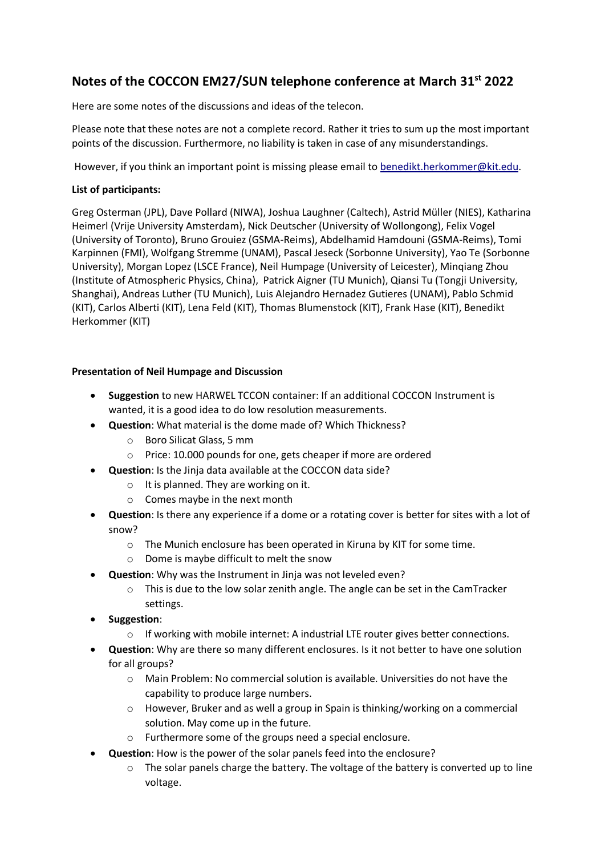## **Notes of the COCCON EM27/SUN telephone conference at March 31st 2022**

Here are some notes of the discussions and ideas of the telecon.

Please note that these notes are not a complete record. Rather it tries to sum up the most important points of the discussion. Furthermore, no liability is taken in case of any misunderstandings.

However, if you think an important point is missing please email to [benedikt.herkommer@kit.edu.](mailto:benedikt.herkommer@kit.edu)

## **List of participants:**

Greg Osterman (JPL), Dave Pollard (NIWA), Joshua Laughner (Caltech), Astrid Müller (NIES), Katharina Heimerl (Vrije University Amsterdam), Nick Deutscher (University of Wollongong), Felix Vogel (University of Toronto), Bruno Grouiez (GSMA-Reims), Abdelhamid Hamdouni (GSMA-Reims), Tomi Karpinnen (FMI), Wolfgang Stremme (UNAM), Pascal Jeseck (Sorbonne University), Yao Te (Sorbonne University), Morgan Lopez (LSCE France), Neil Humpage (University of Leicester), Minqiang Zhou (Institute of Atmospheric Physics, China), Patrick Aigner (TU Munich), Qiansi Tu (Tongji University, Shanghai), Andreas Luther (TU Munich), Luis Alejandro Hernadez Gutieres (UNAM), Pablo Schmid (KIT), Carlos Alberti (KIT), Lena Feld (KIT), Thomas Blumenstock (KIT), Frank Hase (KIT), Benedikt Herkommer (KIT)

## **Presentation of Neil Humpage and Discussion**

- **Suggestion** to new HARWEL TCCON container: If an additional COCCON Instrument is wanted, it is a good idea to do low resolution measurements.
- **Question**: What material is the dome made of? Which Thickness?
	- o Boro Silicat Glass, 5 mm
	- o Price: 10.000 pounds for one, gets cheaper if more are ordered
- **Question**: Is the Jinja data available at the COCCON data side?
	- $\circ$  It is planned. They are working on it.
	- o Comes maybe in the next month
- **Question**: Is there any experience if a dome or a rotating cover is better for sites with a lot of snow?
	- o The Munich enclosure has been operated in Kiruna by KIT for some time.
	- o Dome is maybe difficult to melt the snow
- **Question**: Why was the Instrument in Jinja was not leveled even?
	- $\circ$  This is due to the low solar zenith angle. The angle can be set in the CamTracker settings.
- **Suggestion**:
	- $\circ$  If working with mobile internet: A industrial LTE router gives better connections.
- **Question**: Why are there so many different enclosures. Is it not better to have one solution for all groups?
	- o Main Problem: No commercial solution is available. Universities do not have the capability to produce large numbers.
	- o However, Bruker and as well a group in Spain is thinking/working on a commercial solution. May come up in the future.
	- o Furthermore some of the groups need a special enclosure.
- **Question**: How is the power of the solar panels feed into the enclosure?
	- $\circ$  The solar panels charge the battery. The voltage of the battery is converted up to line voltage.